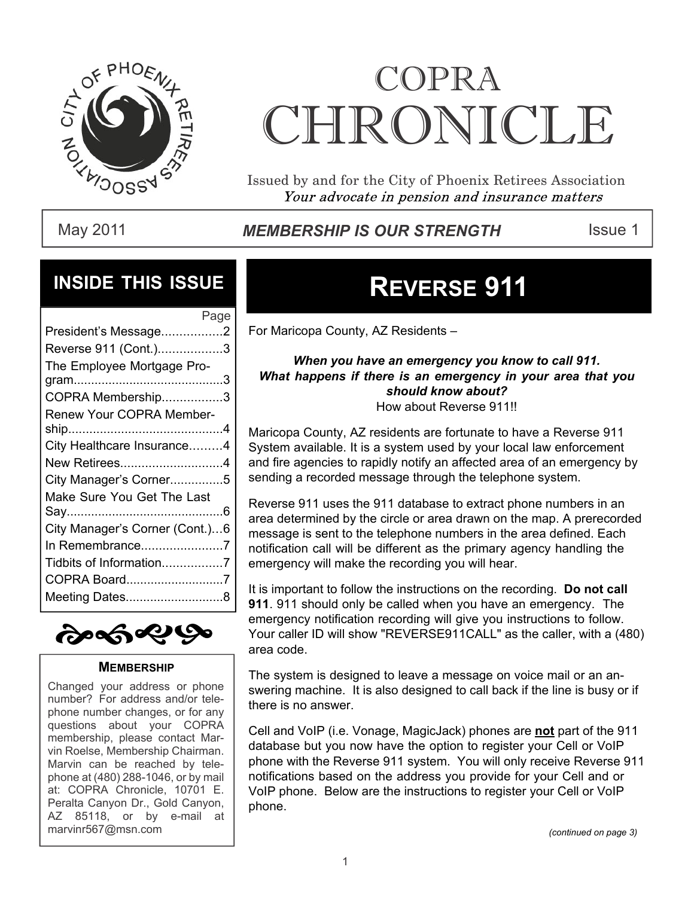

# COPRA CHRONICI F.

Issued by and for the City of Phoenix Retirees Association Your advocate in pension and insurance matters

### May 2011 **MEMBERSHIP IS OUR STRENGTH** Issue 1

### **INSIDE THIS ISSUE**

| Page                            |
|---------------------------------|
| President's Message2            |
| Reverse 911 (Cont.)3            |
| The Employee Mortgage Pro-      |
|                                 |
| COPRA Membership3               |
| <b>Renew Your COPRA Member-</b> |
|                                 |
| City Healthcare Insurance4      |
| New Retirees4                   |
| City Manager's Corner5          |
| Make Sure You Get The Last      |
|                                 |
| City Manager's Corner (Cont.)6  |
| In Remembrance7                 |
| Tidbits of Information7         |
| COPRA Board7                    |
| Meeting Dates8                  |



#### **MEMBERSHIP**

Changed your address or phone number? For address and/or telephone number changes, or for any questions about your COPRA membership, please contact Marvin Roelse, Membership Chairman. Marvin can be reached by telephone at (480) 288-1046, or by mail at: COPRA Chronicle, 10701 E. Peralta Canyon Dr., Gold Canyon, AZ 85118, or by e-mail at marvinr567@msn.com

# **REVERSE 911**

For Maricopa County, AZ Residents –

#### *When you have an emergency you know to call 911. What happens if there is an emergency in your area that you should know about?* How about Reverse 911!!

Maricopa County, AZ residents are fortunate to have a Reverse 911 System available. It is a system used by your local law enforcement and fire agencies to rapidly notify an affected area of an emergency by sending a recorded message through the telephone system.

Reverse 911 uses the 911 database to extract phone numbers in an area determined by the circle or area drawn on the map. A prerecorded message is sent to the telephone numbers in the area defined. Each notification call will be different as the primary agency handling the emergency will make the recording you will hear.

It is important to follow the instructions on the recording. **Do not call 911**. 911 should only be called when you have an emergency. The emergency notification recording will give you instructions to follow. Your caller ID will show "REVERSE911CALL" as the caller, with a (480) area code.

The system is designed to leave a message on voice mail or an answering machine. It is also designed to call back if the line is busy or if there is no answer.

Cell and VoIP (i.e. Vonage, MagicJack) phones are **not** part of the 911 database but you now have the option to register your Cell or VoIP phone with the Reverse 911 system. You will only receive Reverse 911 notifications based on the address you provide for your Cell and or VoIP phone. Below are the instructions to register your Cell or VoIP phone.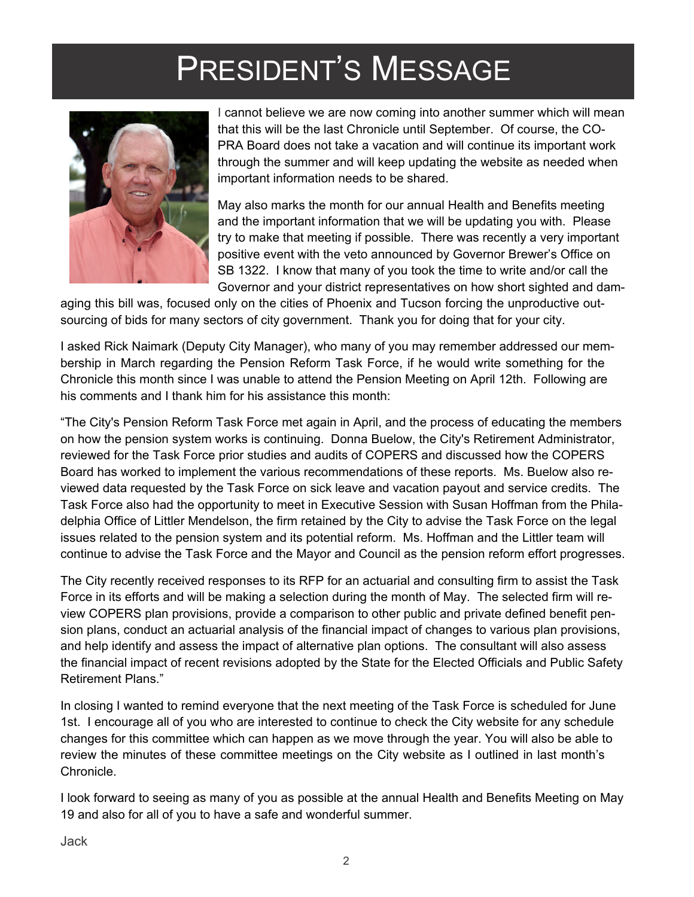# PRESIDENT'S MESSAGE



 I cannot believe we are now coming into another summer which will mean that this will be the last Chronicle until September. Of course, the CO-PRA Board does not take a vacation and will continue its important work through the summer and will keep updating the website as needed when important information needs to be shared.

May also marks the month for our annual Health and Benefits meeting and the important information that we will be updating you with. Please try to make that meeting if possible. There was recently a very important positive event with the veto announced by Governor Brewer's Office on SB 1322. I know that many of you took the time to write and/or call the Governor and your district representatives on how short sighted and dam-

aging this bill was, focused only on the cities of Phoenix and Tucson forcing the unproductive outsourcing of bids for many sectors of city government. Thank you for doing that for your city.

I asked Rick Naimark (Deputy City Manager), who many of you may remember addressed our membership in March regarding the Pension Reform Task Force, if he would write something for the Chronicle this month since I was unable to attend the Pension Meeting on April 12th. Following are his comments and I thank him for his assistance this month:

"The City's Pension Reform Task Force met again in April, and the process of educating the members on how the pension system works is continuing. Donna Buelow, the City's Retirement Administrator, reviewed for the Task Force prior studies and audits of COPERS and discussed how the COPERS Board has worked to implement the various recommendations of these reports. Ms. Buelow also reviewed data requested by the Task Force on sick leave and vacation payout and service credits. The Task Force also had the opportunity to meet in Executive Session with Susan Hoffman from the Philadelphia Office of Littler Mendelson, the firm retained by the City to advise the Task Force on the legal issues related to the pension system and its potential reform. Ms. Hoffman and the Littler team will continue to advise the Task Force and the Mayor and Council as the pension reform effort progresses.

The City recently received responses to its RFP for an actuarial and consulting firm to assist the Task Force in its efforts and will be making a selection during the month of May. The selected firm will review COPERS plan provisions, provide a comparison to other public and private defined benefit pension plans, conduct an actuarial analysis of the financial impact of changes to various plan provisions, and help identify and assess the impact of alternative plan options. The consultant will also assess the financial impact of recent revisions adopted by the State for the Elected Officials and Public Safety Retirement Plans."

In closing I wanted to remind everyone that the next meeting of the Task Force is scheduled for June 1st. I encourage all of you who are interested to continue to check the City website for any schedule changes for this committee which can happen as we move through the year. You will also be able to review the minutes of these committee meetings on the City website as I outlined in last month's Chronicle.

I look forward to seeing as many of you as possible at the annual Health and Benefits Meeting on May 19 and also for all of you to have a safe and wonderful summer.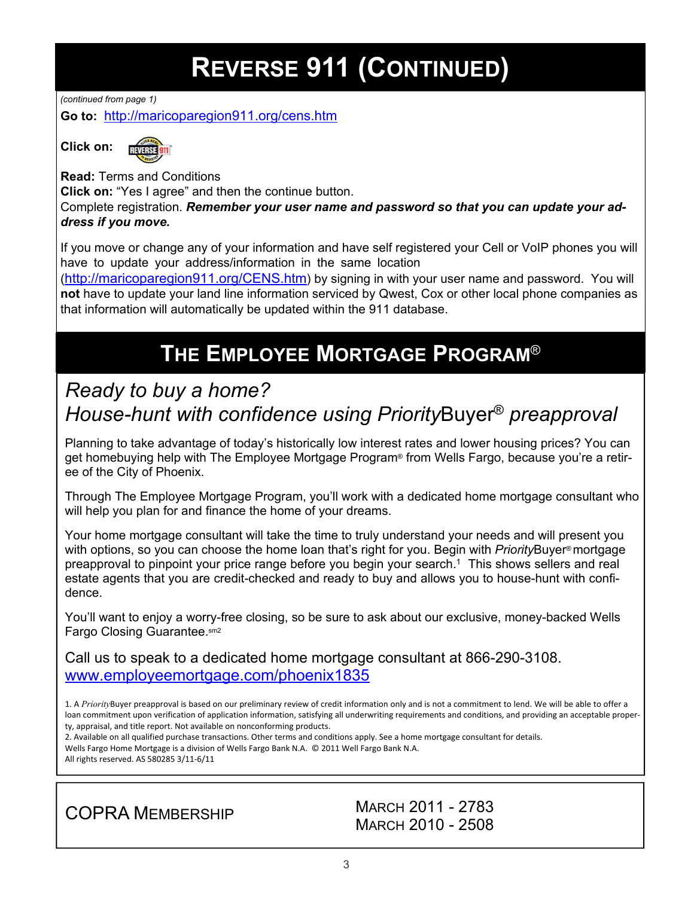# **REVERSE 911 (CONTINUED)**

*(continued from page 1)*

**Go to:** http://maricoparegion911.org/cens.htm

**Click on:**



**Read:** Terms and Conditions **Click on:** "Yes I agree" and then the continue button. Complete registration. *Remember your user name and password so that you can update your address if you move.*

If you move or change any of your information and have self registered your Cell or VoIP phones you will have to update your address/information in the same location

(http://maricoparegion911.org/CENS.htm) by signing in with your user name and password. You will **not** have to update your land line information serviced by Qwest, Cox or other local phone companies as that information will automatically be updated within the 911 database.

# **THE EMPLOYEE MORTGAGE PROGRAM**®

### *Ready to buy a home? House-hunt with confidence using Priority*Buyer® *preapproval*

Planning to take advantage of today's historically low interest rates and lower housing prices? You can get homebuying help with The Employee Mortgage Program® from Wells Fargo, because you're a retiree of the City of Phoenix.

Through The Employee Mortgage Program, you'll work with a dedicated home mortgage consultant who will help you plan for and finance the home of your dreams.

Your home mortgage consultant will take the time to truly understand your needs and will present you with options, so you can choose the home loan that's right for you. Begin with *Priority*Buyer®mortgage preapproval to pinpoint your price range before you begin your search.<sup>1</sup> This shows sellers and real estate agents that you are credit-checked and ready to buy and allows you to house-hunt with confidence.

You'll want to enjoy a worry-free closing, so be sure to ask about our exclusive, money-backed Wells Fargo Closing Guarantee.sm2

Call us to speak to a dedicated home mortgage consultant at 866-290-3108. www.employeemortgage.com/phoenix1835

1. A *Priority*Buyer preapproval is based on our preliminary review of credit information only and is not a commitment to lend. We will be able to offer a loan commitment upon verification of application information, satisfying all underwriting requirements and conditions, and providing an acceptable property, appraisal, and title report. Not available on nonconforming products.

2. Available on all qualified purchase transactions. Other terms and conditions apply. See a home mortgage consultant for details. Wells Fargo Home Mortgage is a division of Wells Fargo Bank N.A. © 2011 Well Fargo Bank N.A. All rights reserved. AS 580285 3/11-6/11



MARCH 2010 - 2508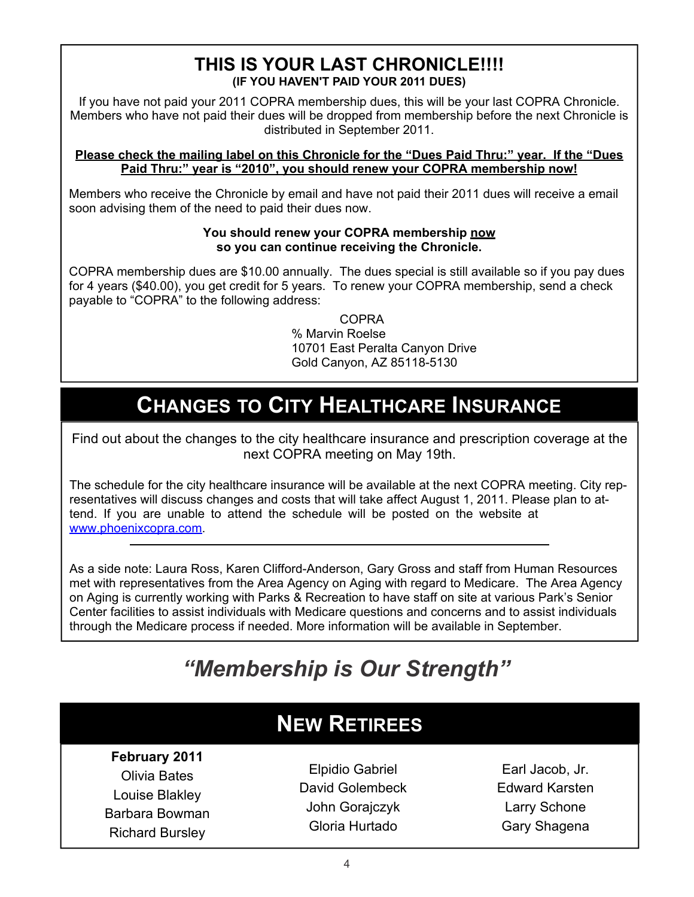### **THIS IS YOUR LAST CHRONICLE!!!! (IF YOU HAVEN'T PAID YOUR 2011 DUES)**

If you have not paid your 2011 COPRA membership dues, this will be your last COPRA Chronicle. Members who have not paid their dues will be dropped from membership before the next Chronicle is distributed in September 2011.

#### **Please check the mailing label on this Chronicle for the "Dues Paid Thru:" year. If the "Dues Paid Thru:" year is "2010", you should renew your COPRA membership now!**

Members who receive the Chronicle by email and have not paid their 2011 dues will receive a email soon advising them of the need to paid their dues now.

#### **You should renew your COPRA membership now so you can continue receiving the Chronicle.**

COPRA membership dues are \$10.00 annually. The dues special is still available so if you pay dues for 4 years (\$40.00), you get credit for 5 years. To renew your COPRA membership, send a check payable to "COPRA" to the following address:

> COPRA % Marvin Roelse 10701 East Peralta Canyon Drive Gold Canyon, AZ 85118-5130

### **CHANGES TO CITY HEALTHCARE INSURANCE**

Find out about the changes to the city healthcare insurance and prescription coverage at the next COPRA meeting on May 19th.

The schedule for the city healthcare insurance will be available at the next COPRA meeting. City representatives will discuss changes and costs that will take affect August 1, 2011. Please plan to attend. If you are unable to attend the schedule will be posted on the website at [www.phoenixcopra.com](http://).

As a side note: Laura Ross, Karen Clifford-Anderson, Gary Gross and staff from Human Resources met with representatives from the Area Agency on Aging with regard to Medicare. The Area Agency on Aging is currently working with Parks & Recreation to have staff on site at various Park's Senior Center facilities to assist individuals with Medicare questions and concerns and to assist individuals through the Medicare process if needed. More information will be available in September.

# *"Membership is Our Strength"*

| <b>NEW RETIREES</b>                                                                                |                                                                               |                                                                          |  |  |
|----------------------------------------------------------------------------------------------------|-------------------------------------------------------------------------------|--------------------------------------------------------------------------|--|--|
| February 2011<br><b>Olivia Bates</b><br>Louise Blakley<br>Barbara Bowman<br><b>Richard Bursley</b> | <b>Elpidio Gabriel</b><br>David Golembeck<br>John Gorajczyk<br>Gloria Hurtado | Earl Jacob, Jr.<br><b>Edward Karsten</b><br>Larry Schone<br>Gary Shagena |  |  |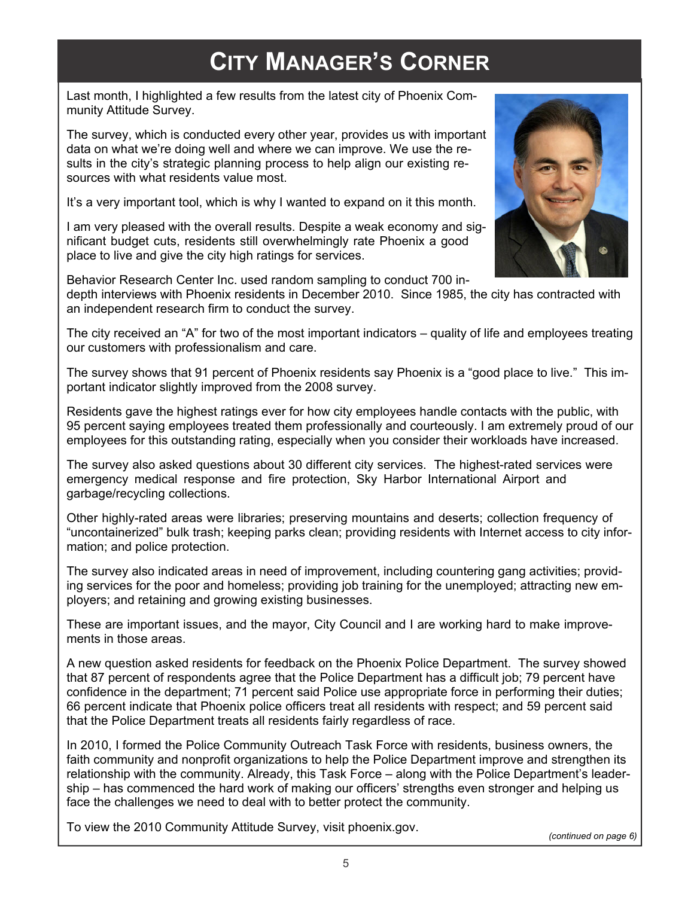# **CITY MANAGER'S CORNER**

Last month, I highlighted a few results from the latest city of Phoenix Community Attitude Survey.

The survey, which is conducted every other year, provides us with important data on what we're doing well and where we can improve. We use the results in the city's strategic planning process to help align our existing resources with what residents value most.

It's a very important tool, which is why I wanted to expand on it this month.

I am very pleased with the overall results. Despite a weak economy and significant budget cuts, residents still overwhelmingly rate Phoenix a good place to live and give the city high ratings for services.



Behavior Research Center Inc. used random sampling to conduct 700 indepth interviews with Phoenix residents in December 2010. Since 1985, the city has contracted with an independent research firm to conduct the survey.

The city received an "A" for two of the most important indicators – quality of life and employees treating our customers with professionalism and care.

The survey shows that 91 percent of Phoenix residents say Phoenix is a "good place to live." This important indicator slightly improved from the 2008 survey.

Residents gave the highest ratings ever for how city employees handle contacts with the public, with 95 percent saying employees treated them professionally and courteously. I am extremely proud of our employees for this outstanding rating, especially when you consider their workloads have increased.

The survey also asked questions about 30 different city services. The highest-rated services were emergency medical response and fire protection, Sky Harbor International Airport and garbage/recycling collections.

Other highly-rated areas were libraries; preserving mountains and deserts; collection frequency of "uncontainerized" bulk trash; keeping parks clean; providing residents with Internet access to city information; and police protection.

The survey also indicated areas in need of improvement, including countering gang activities; providing services for the poor and homeless; providing job training for the unemployed; attracting new employers; and retaining and growing existing businesses.

These are important issues, and the mayor, City Council and I are working hard to make improvements in those areas.

A new question asked residents for feedback on the Phoenix Police Department. The survey showed that 87 percent of respondents agree that the Police Department has a difficult job; 79 percent have confidence in the department; 71 percent said Police use appropriate force in performing their duties; 66 percent indicate that Phoenix police officers treat all residents with respect; and 59 percent said that the Police Department treats all residents fairly regardless of race.

In 2010, I formed the Police Community Outreach Task Force with residents, business owners, the faith community and nonprofit organizations to help the Police Department improve and strengthen its relationship with the community. Already, this Task Force – along with the Police Department's leadership – has commenced the hard work of making our officers' strengths even stronger and helping us face the challenges we need to deal with to better protect the community.

To view the 2010 Community Attitude Survey, visit phoenix.gov.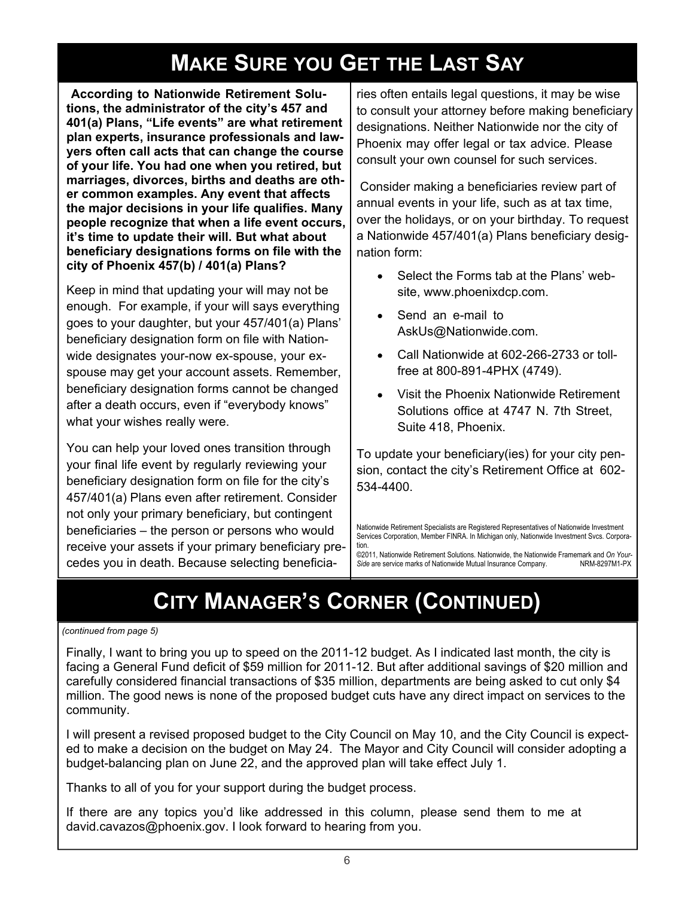# **MAKE SURE YOU GET THE LAST SAY**

 **According to Nationwide Retirement Solutions, the administrator of the city's 457 and 401(a) Plans, "Life events" are what retirement plan experts, insurance professionals and lawyers often call acts that can change the course of your life. You had one when you retired, but marriages, divorces, births and deaths are other common examples. Any event that affects the major decisions in your life qualifies. Many people recognize that when a life event occurs, it's time to update their will. But what about beneficiary designations forms on file with the city of Phoenix 457(b) / 401(a) Plans?**

Keep in mind that updating your will may not be enough. For example, if your will says everything goes to your daughter, but your 457/401(a) Plans' beneficiary designation form on file with Nationwide designates your-now ex-spouse, your exspouse may get your account assets. Remember, beneficiary designation forms cannot be changed after a death occurs, even if "everybody knows" what your wishes really were.

You can help your loved ones transition through your final life event by regularly reviewing your beneficiary designation form on file for the city's 457/401(a) Plans even after retirement. Consider not only your primary beneficiary, but contingent beneficiaries – the person or persons who would receive your assets if your primary beneficiary precedes you in death. Because selecting beneficia-

ries often entails legal questions, it may be wise to consult your attorney before making beneficiary designations. Neither Nationwide nor the city of Phoenix may offer legal or tax advice. Please consult your own counsel for such services.

 Consider making a beneficiaries review part of annual events in your life, such as at tax time, over the holidays, or on your birthday. To request a Nationwide 457/401(a) Plans beneficiary designation form:

- Select the Forms tab at the Plans' website, www.phoenixdcp.com.
- Send an e-mail to AskUs@Nationwide.com.
- Call Nationwide at 602-266-2733 or tollfree at 800-891-4PHX (4749).
- Visit the Phoenix Nationwide Retirement Solutions office at 4747 N. 7th Street, Suite 418, Phoenix.

To update your beneficiary(ies) for your city pension, contact the city's Retirement Office at 602- 534-4400.

Nationwide Retirement Specialists are Registered Representatives of Nationwide Investment Services Corporation, Member FINRA. In Michigan only, Nationwide Investment Svcs. Corpora-

tion. ©2011, Nationwide Retirement Solutions. Nationwide, the Nationwide Framemark and *On Your-Side* are service marks of Nationwide Mutual Insurance Company. NRM-8297M1-PX

# **CITY MANAGER'S CORNER (CONTINUED)**

#### *(continued from page 5)*

Finally, I want to bring you up to speed on the 2011-12 budget. As I indicated last month, the city is facing a General Fund deficit of \$59 million for 2011-12. But after additional savings of \$20 million and carefully considered financial transactions of \$35 million, departments are being asked to cut only \$4 million. The good news is none of the proposed budget cuts have any direct impact on services to the community.

I will present a revised proposed budget to the City Council on May 10, and the City Council is expected to make a decision on the budget on May 24. The Mayor and City Council will consider adopting a budget-balancing plan on June 22, and the approved plan will take effect July 1.

Thanks to all of you for your support during the budget process.

If there are any topics you'd like addressed in this column, please send them to me at david.cavazos@phoenix.gov. I look forward to hearing from you.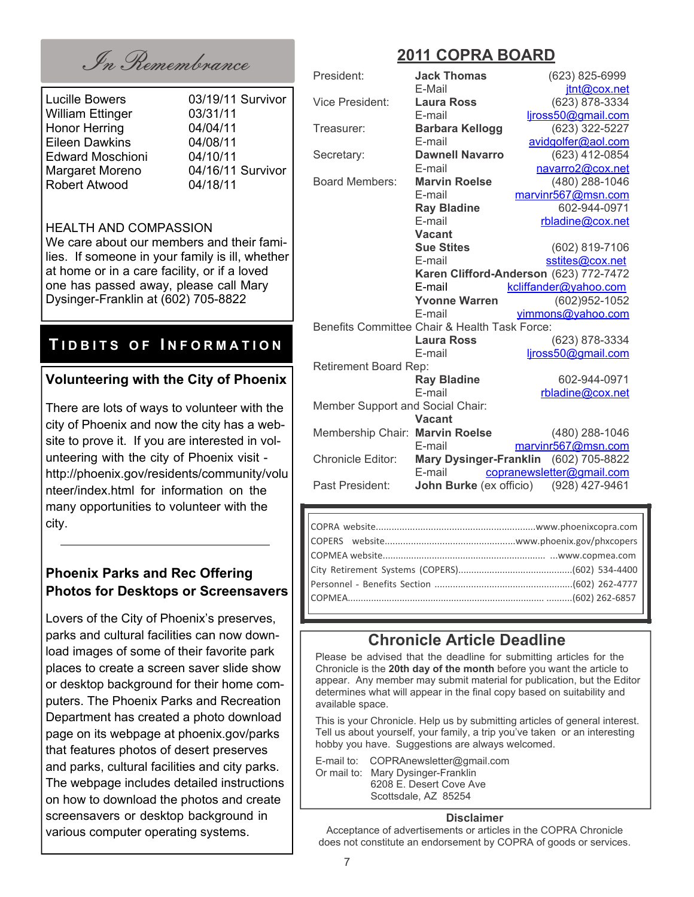In Remembrance **2011 COPRA BOARD**

| <b>Lucille Bowers</b>   | 03/19/11 Survivor |
|-------------------------|-------------------|
| <b>William Ettinger</b> | 03/31/11          |
| Honor Herring           | 04/04/11          |
| <b>Eileen Dawkins</b>   | 04/08/11          |
| <b>Edward Moschioni</b> | 04/10/11          |
| Margaret Moreno         | 04/16/11 Survivor |
| Robert Atwood           | 04/18/11          |
|                         |                   |

#### HEALTH AND COMPASSION

We care about our members and their families. If someone in your family is ill, whether at home or in a care facility, or if a loved one has passed away, please call Mary Dysinger-Franklin at (602) 705-8822

### **T I D B I T S O F I N F O R M A T I O N**

#### **Volunteering with the City of Phoenix**

There are lots of ways to volunteer with the city of Phoenix and now the city has a website to prove it. If you are interested in volunteering with the city of Phoenix visit http://phoenix.gov/residents/community/volu nteer/index.html for information on the many opportunities to volunteer with the city.

#### **Phoenix Parks and Rec Offering Photos for Desktops or Screensavers**

Lovers of the City of Phoenix's preserves, parks and cultural facilities can now download images of some of their favorite park places to create a screen saver slide show or desktop background for their home computers. The Phoenix Parks and Recreation Department has created a photo download page on its webpage at phoenix.gov/parks that features photos of desert preserves and parks, cultural facilities and city parks. The webpage includes detailed instructions on how to download the photos and create screensavers or desktop background in various computer operating systems.

| President:                                    | <b>Jack Thomas</b>                      | (623) 825-6999                                |  |
|-----------------------------------------------|-----------------------------------------|-----------------------------------------------|--|
|                                               | E-Mail                                  | jtnt@cox.net                                  |  |
| Vice President:                               | <b>Laura Ross</b>                       | (623) 878-3334                                |  |
|                                               | E-mail                                  | ljross50@gmail.com                            |  |
| Treasurer:                                    | <b>Barbara Kellogg</b>                  | (623) 322-5227                                |  |
|                                               | E-mail                                  | avidgolfer@aol.com                            |  |
| Secretary:                                    | <b>Dawnell Navarro</b>                  | (623) 412-0854                                |  |
|                                               | E-mail                                  | navarro2@cox.net                              |  |
| Board Members:                                | <b>Marvin Roelse</b>                    | (480) 288-1046                                |  |
|                                               | E-mail                                  | marvinr567@msn.com                            |  |
|                                               | <b>Ray Bladine</b>                      | 602-944-0971                                  |  |
|                                               | E-mail                                  | rbladine@cox.net                              |  |
|                                               | Vacant                                  |                                               |  |
|                                               | <b>Sue Stites</b>                       | (602) 819-7106                                |  |
|                                               | E-mail                                  | sstites@cox.net                               |  |
|                                               |                                         | Karen Clifford-Anderson (623) 772-7472        |  |
|                                               | E-mail                                  | kcliffander@yahoo.com                         |  |
|                                               | <b>Yvonne Warren</b>                    | (602)952-1052                                 |  |
|                                               | E-mail                                  | yimmons@yahoo.com                             |  |
| Benefits Committee Chair & Health Task Force: |                                         |                                               |  |
|                                               | <b>Laura Ross</b>                       | (623) 878-3334                                |  |
|                                               | E-mail                                  | ljross50@gmail.com                            |  |
| Retirement Board Rep:                         |                                         |                                               |  |
|                                               | <b>Ray Bladine</b>                      | 602-944-0971                                  |  |
|                                               | E-mail                                  | rbladine@cox.net                              |  |
| Member Support and Social Chair:              |                                         |                                               |  |
|                                               | <b>Vacant</b>                           |                                               |  |
| Membership Chair:                             | <b>Marvin Roelse</b>                    | (480) 288-1046                                |  |
|                                               | E-mail                                  | marvinr567@msn.com                            |  |
| <b>Chronicle Editor:</b>                      | <b>Mary Dysinger-Franklin</b><br>E-mail | (602) 705-8822                                |  |
|                                               |                                         | copranewsletter@gmail.com                     |  |
| Past President:                               |                                         | <b>John Burke</b> (ex officio) (928) 427-9461 |  |

#### **Chronicle Article Deadline**

Please be advised that the deadline for submitting articles for the Chronicle is the **20th day of the month** before you want the article to appear. Any member may submit material for publication, but the Editor determines what will appear in the final copy based on suitability and available space.

This is your Chronicle. Help us by submitting articles of general interest. Tell us about yourself, your family, a trip you've taken or an interesting hobby you have. Suggestions are always welcomed.

E-mail to: COPRAnewsletter@gmail.com Or mail to: Mary Dysinger-Franklin 6208 E. Desert Cove Ave Scottsdale, AZ 85254

#### **Disclaimer**

Acceptance of advertisements or articles in the COPRA Chronicle does not constitute an endorsement by COPRA of goods or services.